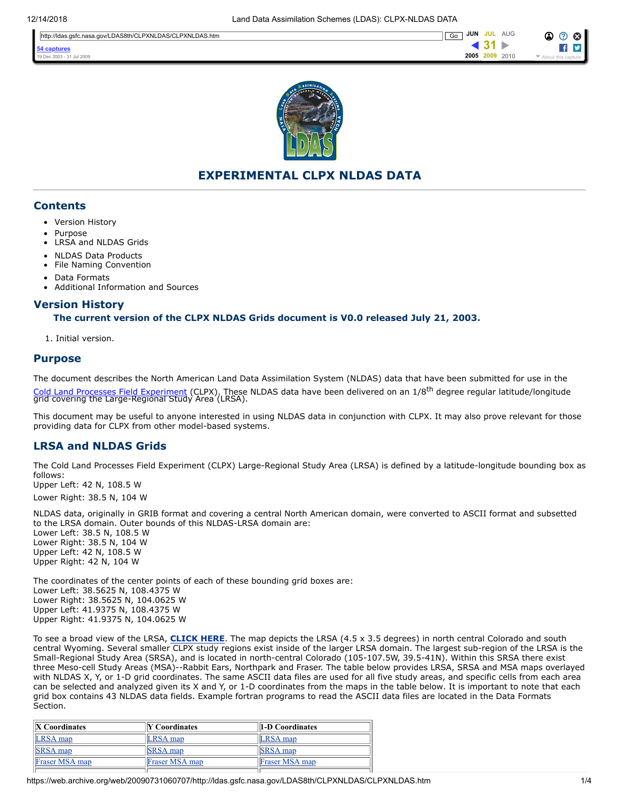

# **EXPERIMENTAL CLPX NLDAS DATA**

## **Contents**

- Version History
- Purpose
- [LRSA and NLDAS Grids](#page-0-0)
- NLDAS Data Products
- [File Naming Convention](#page-1-0)
- [Data Formats](#page-2-0)
- [Additional Information and Sources](#page-2-1)

# **Version History**

#### **The current version of the CLPX NLDAS Grids document is V0.0 released July 21, 2003.**

<span id="page-0-0"></span>1. Initial version.

#### **Purpose**

The document describes the North American Land Data Assimilation System (NLDAS) data that have been submitted for use in the [Cold Land Processes Field Experiment](https://www.nohrsc.noaa.gov/~cline/clpx.html) (CLPX). These NLDAS data have been delivered on an 1/8<sup>th</sup> degree regular latitude/longitude<br>grid covering the Large-Regional Study Area (LRSA).

This document may be useful to anyone interested in using NLDAS data in conjunction with CLPX. It may also prove relevant for those providing data for CLPX from other model-based systems.

# **LRSA and NLDAS Grids**

The Cold Land Processes Field Experiment (CLPX) Large-Regional Study Area (LRSA) is defined by a latitude-longitude bounding box as follows: Upper Left: 42 N, 108.5 W

Lower Right: 38.5 N, 104 W

NLDAS data, originally in GRIB format and covering a central North American domain, were converted to ASCII format and subsetted to the LRSA domain. Outer bounds of this NLDAS-LRSA domain are: Lower Left: 38.5 N, 108.5 W Lower Right: 38.5 N, 104 W Upper Left: 42 N, 108.5 W Upper Right: 42 N, 104 W

The coordinates of the center points of each of these bounding grid boxes are: Lower Left: 38.5625 N, 108.4375 W Lower Right: 38.5625 N, 104.0625 W Upper Left: 41.9375 N, 108.4375 W Upper Right: 41.9375 N, 104.0625 W

To see a broad view of the LRSA, **[CLICK HERE](https://www.nohrsc.noaa.gov/~cline/clpx.html)**. The map depicts the LRSA (4.5 x 3.5 degrees) in north central Colorado and south central Wyoming. Several smaller CLPX study regions exist inside of the larger LRSA domain. The largest sub-region of the LRSA is the Small-Regional Study Area (SRSA), and is located in north-central Colorado (105-107.5W, 39.5-41N). Within this SRSA there exist three Meso-cell Study Areas (MSA)--Rabbit Ears, Northpark and Fraser. The table below provides LRSA, SRSA and MSA maps overlayed with NLDAS X, Y, or 1-D grid coordinates. The same ASCII data files are used for all five study areas, and specific cells from each area can be selected and analyzed given its X and Y, or 1-D coordinates from the maps in the table below. It is important to note that each grid box contains 43 NLDAS data fields. Example fortran programs to read the ASCII data files are located in the Data Formats Section.

| <b>X</b> Coordinates | <b>Y</b> Coordinates  | 1-D Coordinates       |
|----------------------|-----------------------|-----------------------|
| LRSA map             | LRSA map              | <b>LRSA</b> map       |
| <b>SRSA</b> map      | <b>SRSA</b> map       | <b>SRSA</b> map       |
| Fraser MSA map       | <b>Fraser MSA map</b> | <b>Fraser MSA map</b> |
|                      |                       |                       |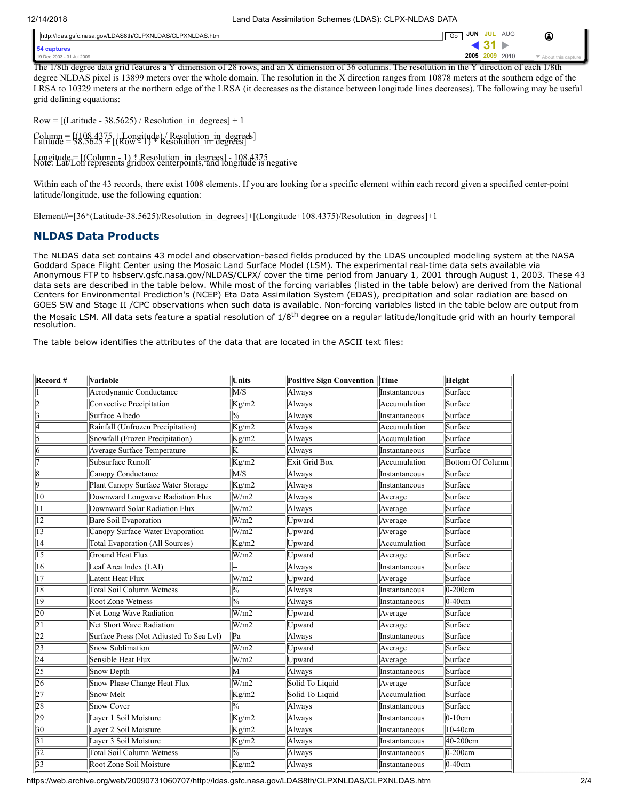The 1/8th degree data grid features a Y dimension of 28 rows, and an X dimension of 36 columns. The resolution in the Y direction of each 1/8th degree NLDAS pixel is 13899 meters over the whole domain. The resolution in the X direction ranges from 10878 meters at the southern edge of the LRSA to 10329 meters at the northern edge of the LRSA (it decreases as the distance between longitude lines decreases). The following may be useful grid defining equations:

 $Row = [(Latitude - 38.5625) / Resolution_in degrees] + 1$ 

 $Column =  $[108.4375 + \text{Longitude}] / \text{Resolution in degrees}]$   
Latitude =  $[98.5625] + [(Rowe1)] * \text{Resolution_in degrees}]$$ 

Longitude = [(Column - 1) \* Resolution\_in\_degrees] - 108.4375 Note: Lat/Lon represents gridbox centerpoints, and longitude is negative

Within each of the 43 records, there exist 1008 elements. If you are looking for a specific element within each record given a specified center-point latitude/longitude, use the following equation:

Element#=[36\*(Latitude-38.5625)/Resolution in degrees]+[(Longitude+108.4375)/Resolution in degrees]+1

# <span id="page-1-0"></span>**NLDAS Data Products**

The NLDAS data set contains 43 model and observation-based fields produced by the LDAS uncoupled modeling system at the NASA Goddard Space Flight Center using the Mosaic Land Surface Model (LSM). The experimental real-time data sets available via Anonymous FTP to hsbserv.gsfc.nasa.gov/NLDAS/CLPX/ cover the time period from January 1, 2001 through August 1, 2003. These 43 data sets are described in the table below. While most of the forcing variables (listed in the table below) are derived from the National Centers for Environmental Prediction's (NCEP) Eta Data Assimilation System (EDAS), precipitation and solar radiation are based on GOES SW and Stage II /CPC observations when such data is available. Non-forcing variables listed in the table below are output from the Mosaic LSM. All data sets feature a spatial resolution of 1/8<sup>th</sup> degree on a regular latitude/longitude grid with an hourly temporal resolution.

The table below identifies the attributes of the data that are located in the ASCII text files:

| Record #        | Variable                                | <b>Units</b>                     | <b>Positive Sign Convention</b> | Time          | Height                  |
|-----------------|-----------------------------------------|----------------------------------|---------------------------------|---------------|-------------------------|
|                 | Aerodynamic Conductance                 | $\overline{\text{MS}}$           | Always                          | Instantaneous | Surface                 |
| 2               | Convective Precipitation                | Kg/m2                            | Always                          | Accumulation  | Surface                 |
| 3               | Surface Albedo                          | $\overline{\frac{0}{6}}$         | Always                          | Instantaneous | Surface                 |
| 4               | Rainfall (Unfrozen Precipitation)       | Kg/m2                            | Always                          | Accumulation  | Surface                 |
| 5               | Snowfall (Frozen Precipitation)         | Kg/m2                            | Always                          | Accumulation  | Surface                 |
| 6               | Average Surface Temperature             | $\overline{\mathrm{K}}$          | Always                          | Instantaneous | Surface                 |
| 7               | Subsurface Runoff                       | Kg/m2                            | Exit Grid Box                   | Accumulation  | <b>Bottom Of Column</b> |
| 18              | Canopy Conductance                      | M/S                              | Always                          | Instantaneous | Surface                 |
| $\overline{9}$  | Plant Canopy Surface Water Storage      | Kg/m2                            | Always                          | Instantaneous | Surface                 |
| $\overline{10}$ | Downward Longwave Radiation Flux        | W/m2                             | Always                          | Average       | Surface                 |
| 11              | Downward Solar Radiation Flux           | W/m2                             | Always                          | Average       | Surface                 |
| $\overline{12}$ | Bare Soil Evaporation                   | W/m2                             | Upward                          | Average       | Surface                 |
| $\overline{13}$ | Canopy Surface Water Evaporation        | W/m2                             | Upward                          | Average       | Surface                 |
| $\overline{14}$ | <b>Total Evaporation (All Sources)</b>  | Kg/m2                            | Upward                          | Accumulation  | Surface                 |
| $\overline{15}$ | Ground Heat Flux                        | W/m2                             | Upward                          | Average       | Surface                 |
| $\overline{16}$ | Leaf Area Index (LAI)                   |                                  | Always                          | Instantaneous | Surface                 |
| $\overline{17}$ | <b>Latent Heat Flux</b>                 | W/m2                             | Upward                          | Average       | Surface                 |
| $\overline{18}$ | <b>Total Soil Column Wetness</b>        | $\overline{\frac{0}{6}}$         | Always                          | Instantaneous | $0-200$ cm              |
| $ 19\rangle$    | <b>Root Zone Wetness</b>                | $\overline{\frac{0}{6}}$         | Always                          | Instantaneous | $0-40cm$                |
| 20              | Net Long Wave Radiation                 | W/m2                             | Upward                          | Average       | Surface                 |
| $\overline{21}$ | Net Short Wave Radiation                | W/m2                             | Upward                          | Average       | Surface                 |
| 22              | Surface Press (Not Adjusted To Sea Lvl) | Pa                               | Always                          | Instantaneous | Surface                 |
| $\overline{23}$ | Snow Sublimation                        | W/m2                             | Upward                          | Average       | Surface                 |
| $\overline{24}$ | Sensible Heat Flux                      | W/m2                             | Upward                          | Average       | Surface                 |
| $\overline{25}$ | Snow Depth                              | $\overline{\mathsf{M}}$          | Always                          | Instantaneous | Surface                 |
| 26              | Snow Phase Change Heat Flux             | W/m2                             | Solid To Liquid                 | Average       | Surface                 |
| $\overline{27}$ | Snow Melt                               | Kg/m2                            | Solid To Liquid                 | Accumulation  | Surface                 |
| 28              | Snow Cover                              | $\sqrt{0}$                       | Always                          | Instantaneous | Surface                 |
| 29              | Layer 1 Soil Moisture                   | Kg/m2                            | Always                          | Instantaneous | $0-10cm$                |
| 30              | Layer 2 Soil Moisture                   | Kg/m2                            | Always                          | Instantaneous | 10-40cm                 |
| $\overline{31}$ | Layer 3 Soil Moisture                   | $\overline{\text{Kg}}/\text{m2}$ | Always                          | Instantaneous | 40-200cm                |
| $\overline{32}$ | <b>Total Soil Column Wetness</b>        | $\frac{0}{6}$                    | Always                          | Instantaneous | $0-200$ cm              |
| $\overline{33}$ | Root Zone Soil Moisture                 | Kg/m2                            | Always                          | Instantaneous | $\overline{0-40cm}$     |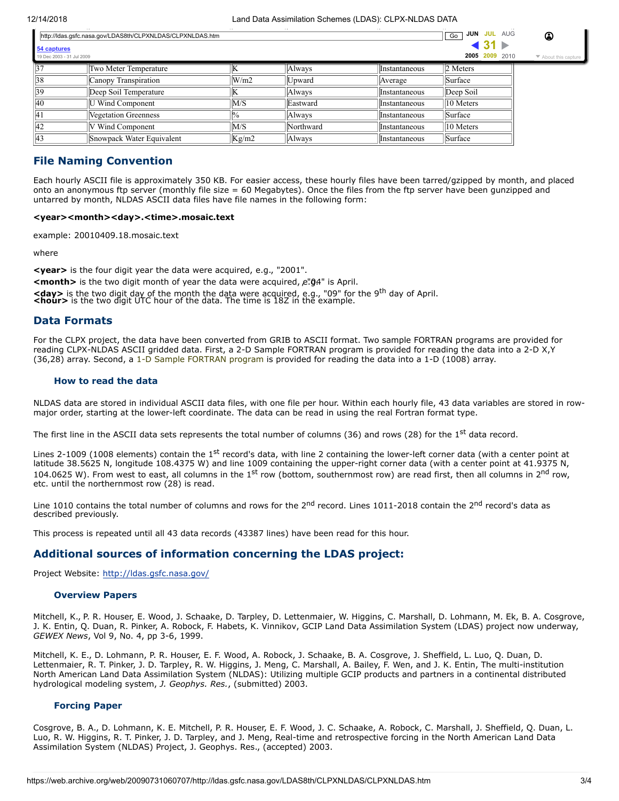| 37 | Two Meter Temperature     |       | Alwavs    | <b>Instantaneous</b>   | 2 Meters  |
|----|---------------------------|-------|-----------|------------------------|-----------|
| 38 | Canopy Transpiration      | W/m2  | Upward    | <i>Average</i>         | Surface   |
| 39 | Deep Soil Temperature     |       | Always    | <b>Instantaneous</b>   | Deep Soil |
| 40 | U Wind Component          | M/S   | Eastward  | Instantaneous          | 10 Meters |
| 4  | Vegetation Greenness      |       | Always    | <i>l</i> Instantaneous | Surface   |
| 42 | <b>V</b> Wind Component   | M/S   | Northward | <i>l</i> Instantaneous | 10 Meters |
| 43 | Snowpack Water Equivalent | Kg/m2 | Always    | <b>IInstantaneous</b>  | Surface   |

## **File Naming Convention**

Each hourly ASCII file is approximately 350 KB. For easier access, these hourly files have been tarred/gzipped by month, and placed onto an anonymous ftp server (monthly file size  $= 60$  Megabytes). Once the files from the ftp server have been gunzipped and untarred by month, NLDAS ASCII data files have file names in the following form:

#### <year><month><day>.<time>.mosaic.text

example: 20010409.18.mosaic.text

where

<span id="page-2-0"></span>**<year>** is the four digit year the data were acquired, e.g., "2001". **<month>** is the two digit month of year the data were acquired, e. <sup>04</sup> is April.

**<day>** is the two digit day of the month the data were acquired, e.g., "09" for the 9<sup>th</sup> day of April.<br><hour> is the two digit UTC hour of the data. The time is 18Z in the example.

### **Data Formats**

For the CLPX project, the data have been converted from GRIB to ASCII format. Two sample FORTRAN programs are provided for reading CLPX-NLDAS ASCII gridded data. First, a 2-D Sample FORTRAN program is provided for reading the data into a 2-D X,Y (36,28) array. Second, a 1-D Sample FORTRAN program is provided for reading the data into a 1-D (1008) array.

#### **How to read the data**

NLDAS data are stored in individual ASCII data files, with one file per hour. Within each hourly file, 43 data variables are stored in rowmajor order, starting at the lower-left coordinate. The data can be read in using the real Fortran format type.

The first line in the ASCII data sets represents the total number of columns (36) and rows (28) for the 1<sup>st</sup> data record.

Lines 2-1009 (1008 elements) contain the 1<sup>st</sup> record's data, with line 2 containing the lower-left corner data (with a center point at latitude 38.5625 N, longitude 108.4375 W) and line 1009 containing the upper-right corner data (with a center point at 41.9375 N, 104.0625 W). From west to east, all columns in the 1<sup>st</sup> row (bottom, southernmost row) are read first, then all columns in 2<sup>nd</sup> row, etc. until the northernmost row  $(28)$  is read.

Line 1010 contains the total number of columns and rows for the  $2^{nd}$  record. Lines 1011-2018 contain the  $2^{nd}$  record's data as described previously.

<span id="page-2-1"></span>This process is repeated until all 43 data records (43387 lines) have been read for this hour.

## **Additional sources of information concerning the LDAS project:**

Project Website: [http://ldas.gsfc.nasa.gov/](https://ldas.gsfc.nasa.gov/)

#### **Overview Papers**

Mitchell, K., P. R. Houser, E. Wood, J. Schaake, D. Tarpley, D. Lettenmaier, W. Higgins, C. Marshall, D. Lohmann, M. Ek, B. A. Cosgrove, J. K. Entin, Q. Duan, R. Pinker, A. Robock, F. Habets, K. Vinnikov, GCIP Land Data Assimilation System (LDAS) project now underway, *GEWEX News*, Vol 9, No. 4, pp 3-6, 1999.

Mitchell, K. E., D. Lohmann, P. R. Houser, E. F. Wood, A. Robock, J. Schaake, B. A. Cosgrove, J. Sheffield, L. Luo, Q. Duan, D. Lettenmaier, R. T. Pinker, J. D. Tarpley, R. W. Higgins, J. Meng, C. Marshall, A. Bailey, F. Wen, and J. K. Entin, The multi-institution North American Land Data Assimilation System (NLDAS): Utilizing multiple GCIP products and partners in a continental distributed hydrological modeling system, *J. Geophys. Res.*, (submitted) 2003.

#### **Forcing Paper**

Cosgrove, B. A., D. Lohmann, K. E. Mitchell, P. R. Houser, E. F. Wood, J. C. Schaake, A. Robock, C. Marshall, J. Sheffield, Q. Duan, L. Luo, R. W. Higgins, R. T. Pinker, J. D. Tarpley, and J. Meng, Real-time and retrospective forcing in the North American Land Data Assimilation System (NLDAS) Project, J. Geophys. Res., (accepted) 2003.